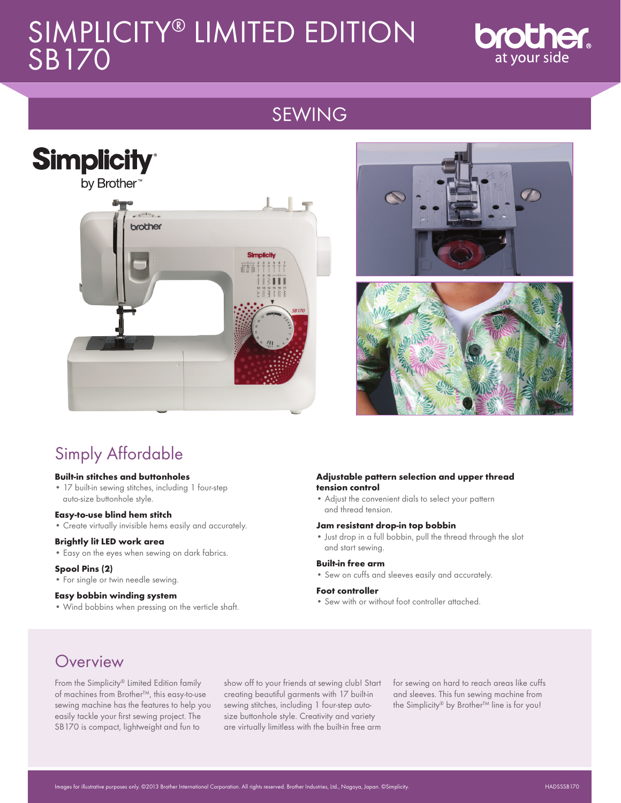# SIMPLICITY® LIMITED EDITION SB170



# SEWING







# Simply Affordable

#### **Built-in stitches and buttonholes**

• 17 built-in sewing stitches, including 1 four-step auto-size buttonhole style.

#### **Easy-to-use blind hem stitch**

• Create virtually invisible hems easily and accurately.

#### **Brightly lit LED work area**

• Easy on the eyes when sewing on dark fabrics.

#### **Spool Pins (2)**

• For single or twin needle sewing.

#### **Easy bobbin winding system**

• Wind bobbins when pressing on the verticle shaft.

#### **Adjustable pattern selection and upper thread tension control**

• Adjust the convenient dials to select your pattern and thread tension.

#### **Jam resistant drop-in top bobbin**

• Just drop in a full bobbin, pull the thread through the slot and start sewing.

#### **Built-in free arm**

• Sew on cuffs and sleeves easily and accurately.

#### **Foot controller**

• Sew with or without foot controller attached.

## **Overview**

From the Simplicity® Limited Edition family of machines from Brother™, this easy-to-use sewing machine has the features to help you easily tackle your first sewing project. The SB170 is compact, lightweight and fun to

show off to your friends at sewing club! Start creating beautiful garments with 17 built-in sewing stitches, including 1 four-step autosize buttonhole style. Creativity and variety are virtually limitless with the built-in free arm

for sewing on hard to reach areas like cuffs and sleeves. This fun sewing machine from the Simplicity® by Brother™ line is for you!